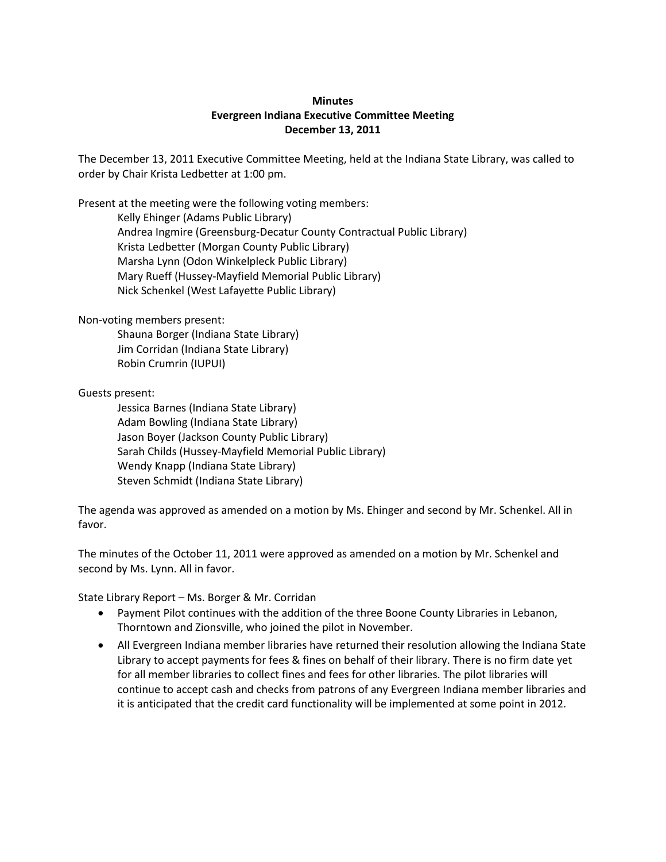## **Minutes Evergreen Indiana Executive Committee Meeting December 13, 2011**

The December 13, 2011 Executive Committee Meeting, held at the Indiana State Library, was called to order by Chair Krista Ledbetter at 1:00 pm.

Present at the meeting were the following voting members:

Kelly Ehinger (Adams Public Library) Andrea Ingmire (Greensburg-Decatur County Contractual Public Library) Krista Ledbetter (Morgan County Public Library) Marsha Lynn (Odon Winkelpleck Public Library) Mary Rueff (Hussey-Mayfield Memorial Public Library) Nick Schenkel (West Lafayette Public Library)

Non-voting members present:

Shauna Borger (Indiana State Library) Jim Corridan (Indiana State Library) Robin Crumrin (IUPUI)

Guests present:

Jessica Barnes (Indiana State Library) Adam Bowling (Indiana State Library) Jason Boyer (Jackson County Public Library) Sarah Childs (Hussey-Mayfield Memorial Public Library) Wendy Knapp (Indiana State Library) Steven Schmidt (Indiana State Library)

The agenda was approved as amended on a motion by Ms. Ehinger and second by Mr. Schenkel. All in favor.

The minutes of the October 11, 2011 were approved as amended on a motion by Mr. Schenkel and second by Ms. Lynn. All in favor.

State Library Report – Ms. Borger & Mr. Corridan

- Payment Pilot continues with the addition of the three Boone County Libraries in Lebanon, Thorntown and Zionsville, who joined the pilot in November.
- All Evergreen Indiana member libraries have returned their resolution allowing the Indiana State Library to accept payments for fees & fines on behalf of their library. There is no firm date yet for all member libraries to collect fines and fees for other libraries. The pilot libraries will continue to accept cash and checks from patrons of any Evergreen Indiana member libraries and it is anticipated that the credit card functionality will be implemented at some point in 2012.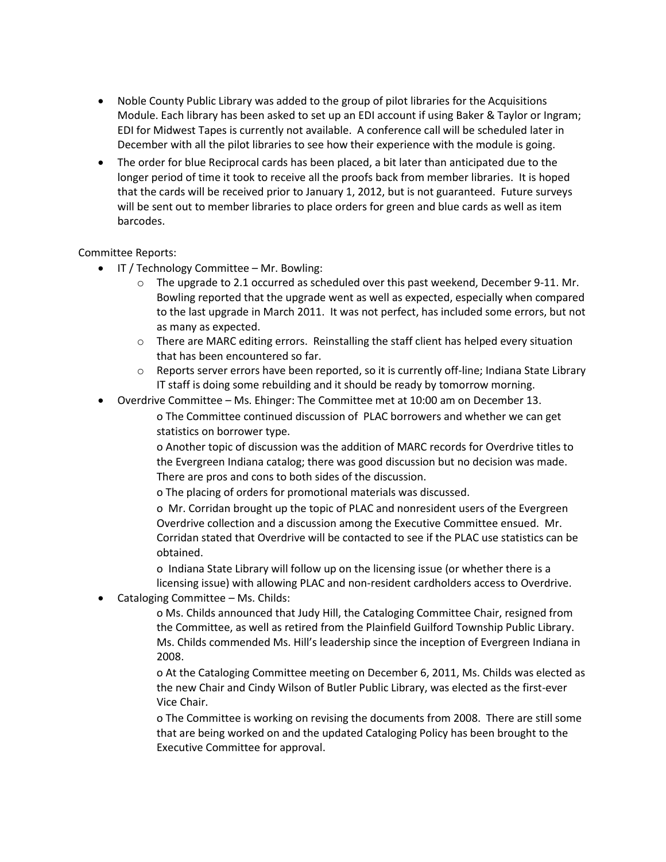- Noble County Public Library was added to the group of pilot libraries for the Acquisitions Module. Each library has been asked to set up an EDI account if using Baker & Taylor or Ingram; EDI for Midwest Tapes is currently not available. A conference call will be scheduled later in December with all the pilot libraries to see how their experience with the module is going.
- The order for blue Reciprocal cards has been placed, a bit later than anticipated due to the longer period of time it took to receive all the proofs back from member libraries. It is hoped that the cards will be received prior to January 1, 2012, but is not guaranteed. Future surveys will be sent out to member libraries to place orders for green and blue cards as well as item barcodes.

### Committee Reports:

- IT / Technology Committee Mr. Bowling:
	- $\circ$  The upgrade to 2.1 occurred as scheduled over this past weekend, December 9-11. Mr. Bowling reported that the upgrade went as well as expected, especially when compared to the last upgrade in March 2011. It was not perfect, has included some errors, but not as many as expected.
	- o There are MARC editing errors. Reinstalling the staff client has helped every situation that has been encountered so far.
	- $\circ$  Reports server errors have been reported, so it is currently off-line; Indiana State Library IT staff is doing some rebuilding and it should be ready by tomorrow morning.
- Overdrive Committee Ms. Ehinger: The Committee met at 10:00 am on December 13.

o The Committee continued discussion of PLAC borrowers and whether we can get statistics on borrower type.

o Another topic of discussion was the addition of MARC records for Overdrive titles to the Evergreen Indiana catalog; there was good discussion but no decision was made. There are pros and cons to both sides of the discussion.

o The placing of orders for promotional materials was discussed.

o Mr. Corridan brought up the topic of PLAC and nonresident users of the Evergreen Overdrive collection and a discussion among the Executive Committee ensued. Mr. Corridan stated that Overdrive will be contacted to see if the PLAC use statistics can be obtained.

o Indiana State Library will follow up on the licensing issue (or whether there is a licensing issue) with allowing PLAC and non-resident cardholders access to Overdrive.

Cataloging Committee – Ms. Childs:

o Ms. Childs announced that Judy Hill, the Cataloging Committee Chair, resigned from the Committee, as well as retired from the Plainfield Guilford Township Public Library. Ms. Childs commended Ms. Hill's leadership since the inception of Evergreen Indiana in 2008.

o At the Cataloging Committee meeting on December 6, 2011, Ms. Childs was elected as the new Chair and Cindy Wilson of Butler Public Library, was elected as the first-ever Vice Chair.

o The Committee is working on revising the documents from 2008. There are still some that are being worked on and the updated Cataloging Policy has been brought to the Executive Committee for approval.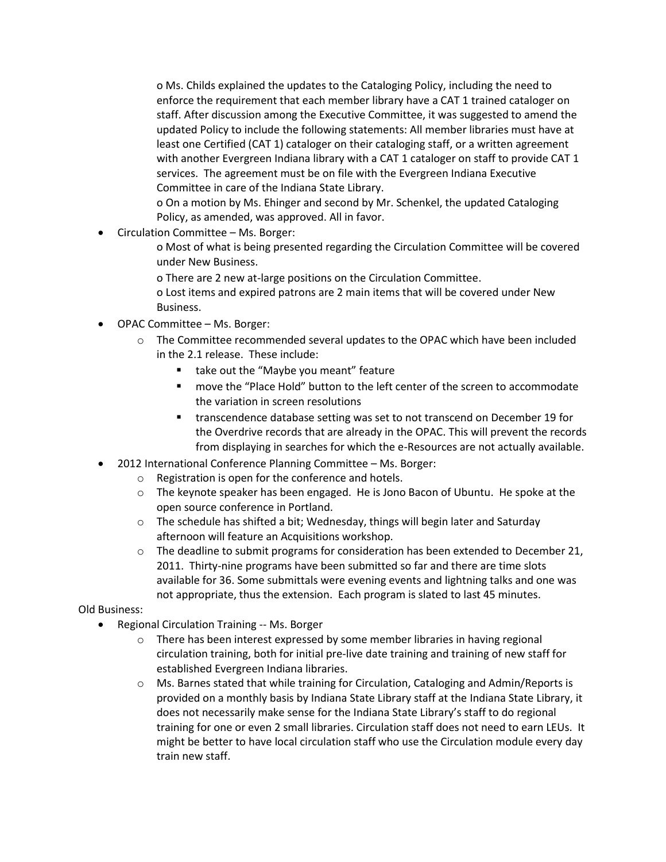o Ms. Childs explained the updates to the Cataloging Policy, including the need to enforce the requirement that each member library have a CAT 1 trained cataloger on staff. After discussion among the Executive Committee, it was suggested to amend the updated Policy to include the following statements: All member libraries must have at least one Certified (CAT 1) cataloger on their cataloging staff, or a written agreement with another Evergreen Indiana library with a CAT 1 cataloger on staff to provide CAT 1 services. The agreement must be on file with the Evergreen Indiana Executive Committee in care of the Indiana State Library.

o On a motion by Ms. Ehinger and second by Mr. Schenkel, the updated Cataloging Policy, as amended, was approved. All in favor.

- Circulation Committee Ms. Borger:
	- o Most of what is being presented regarding the Circulation Committee will be covered under New Business.
	- o There are 2 new at-large positions on the Circulation Committee.
	- o Lost items and expired patrons are 2 main items that will be covered under New Business.
- OPAC Committee Ms. Borger:
	- o The Committee recommended several updates to the OPAC which have been included in the 2.1 release. These include:
		- **take out the "Maybe you meant" feature**
		- move the "Place Hold" button to the left center of the screen to accommodate the variation in screen resolutions
		- transcendence database setting was set to not transcend on December 19 for the Overdrive records that are already in the OPAC. This will prevent the records from displaying in searches for which the e-Resources are not actually available.
- 2012 International Conference Planning Committee Ms. Borger:
	- o Registration is open for the conference and hotels.
	- $\circ$  The keynote speaker has been engaged. He is Jono Bacon of Ubuntu. He spoke at the open source conference in Portland.
	- $\circ$  The schedule has shifted a bit; Wednesday, things will begin later and Saturday afternoon will feature an Acquisitions workshop.
	- $\circ$  The deadline to submit programs for consideration has been extended to December 21, 2011. Thirty-nine programs have been submitted so far and there are time slots available for 36. Some submittals were evening events and lightning talks and one was not appropriate, thus the extension. Each program is slated to last 45 minutes.

# Old Business:

- Regional Circulation Training -- Ms. Borger
	- o There has been interest expressed by some member libraries in having regional circulation training, both for initial pre-live date training and training of new staff for established Evergreen Indiana libraries.
	- o Ms. Barnes stated that while training for Circulation, Cataloging and Admin/Reports is provided on a monthly basis by Indiana State Library staff at the Indiana State Library, it does not necessarily make sense for the Indiana State Library's staff to do regional training for one or even 2 small libraries. Circulation staff does not need to earn LEUs. It might be better to have local circulation staff who use the Circulation module every day train new staff.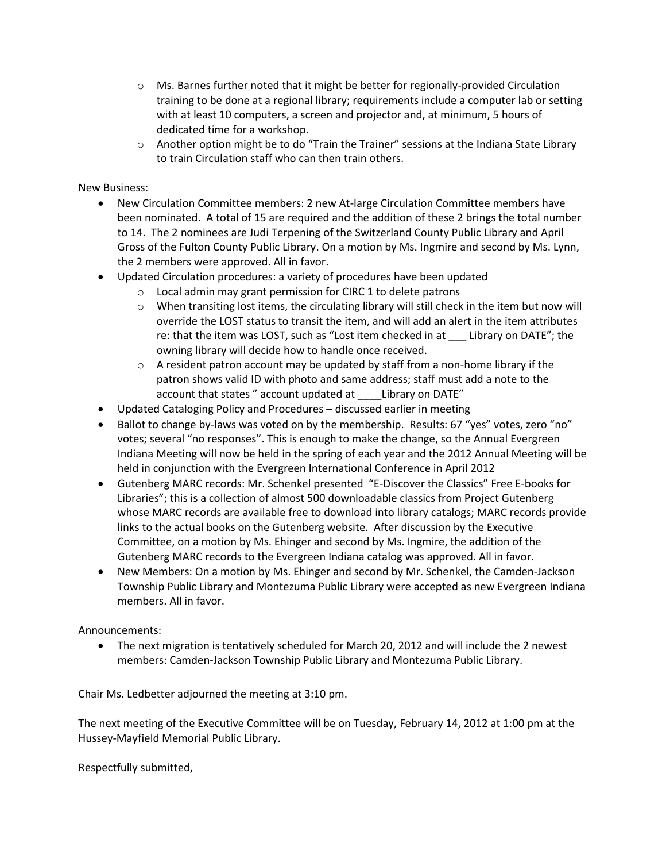- $\circ$  Ms. Barnes further noted that it might be better for regionally-provided Circulation training to be done at a regional library; requirements include a computer lab or setting with at least 10 computers, a screen and projector and, at minimum, 5 hours of dedicated time for a workshop.
- $\circ$  Another option might be to do "Train the Trainer" sessions at the Indiana State Library to train Circulation staff who can then train others.

### New Business:

- New Circulation Committee members: 2 new At-large Circulation Committee members have been nominated. A total of 15 are required and the addition of these 2 brings the total number to 14. The 2 nominees are Judi Terpening of the Switzerland County Public Library and April Gross of the Fulton County Public Library. On a motion by Ms. Ingmire and second by Ms. Lynn, the 2 members were approved. All in favor.
- Updated Circulation procedures: a variety of procedures have been updated
	- o Local admin may grant permission for CIRC 1 to delete patrons
	- $\circ$  When transiting lost items, the circulating library will still check in the item but now will override the LOST status to transit the item, and will add an alert in the item attributes re: that the item was LOST, such as "Lost item checked in at \_\_\_ Library on DATE"; the owning library will decide how to handle once received.
	- $\circ$  A resident patron account may be updated by staff from a non-home library if the patron shows valid ID with photo and same address; staff must add a note to the account that states " account updated at Library on DATE"
- Updated Cataloging Policy and Procedures discussed earlier in meeting
- Ballot to change by-laws was voted on by the membership. Results: 67 "yes" votes, zero "no" votes; several "no responses". This is enough to make the change, so the Annual Evergreen Indiana Meeting will now be held in the spring of each year and the 2012 Annual Meeting will be held in conjunction with the Evergreen International Conference in April 2012
- Gutenberg MARC records: Mr. Schenkel presented "E-Discover the Classics" Free E-books for Libraries"; this is a collection of almost 500 downloadable classics from Project Gutenberg whose MARC records are available free to download into library catalogs; MARC records provide links to the actual books on the Gutenberg website. After discussion by the Executive Committee, on a motion by Ms. Ehinger and second by Ms. Ingmire, the addition of the Gutenberg MARC records to the Evergreen Indiana catalog was approved. All in favor.
- New Members: On a motion by Ms. Ehinger and second by Mr. Schenkel, the Camden-Jackson Township Public Library and Montezuma Public Library were accepted as new Evergreen Indiana members. All in favor.

# Announcements:

• The next migration is tentatively scheduled for March 20, 2012 and will include the 2 newest members: Camden-Jackson Township Public Library and Montezuma Public Library.

Chair Ms. Ledbetter adjourned the meeting at 3:10 pm.

The next meeting of the Executive Committee will be on Tuesday, February 14, 2012 at 1:00 pm at the Hussey-Mayfield Memorial Public Library.

Respectfully submitted,